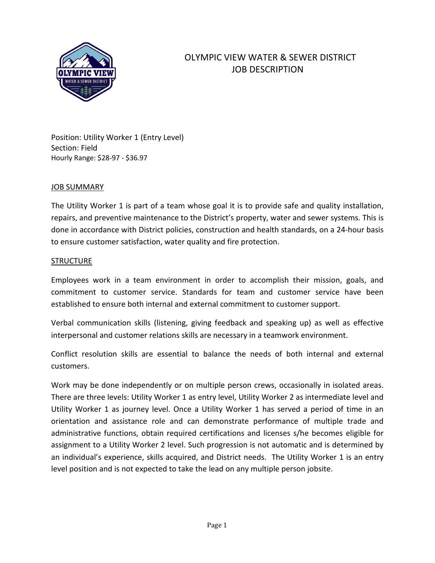

# OLYMPIC VIEW WATER & SEWER DISTRICT JOB DESCRIPTION

Position: Utility Worker 1 (Entry Level) Section: Field Hourly Range: \$28-97 - \$36.97

### JOB SUMMARY

The Utility Worker 1 is part of a team whose goal it is to provide safe and quality installation, repairs, and preventive maintenance to the District's property, water and sewer systems. This is done in accordance with District policies, construction and health standards, on a 24-hour basis to ensure customer satisfaction, water quality and fire protection.

#### **STRUCTURE**

Employees work in a team environment in order to accomplish their mission, goals, and commitment to customer service. Standards for team and customer service have been established to ensure both internal and external commitment to customer support.

Verbal communication skills (listening, giving feedback and speaking up) as well as effective interpersonal and customer relations skills are necessary in a teamwork environment.

Conflict resolution skills are essential to balance the needs of both internal and external customers.

Work may be done independently or on multiple person crews, occasionally in isolated areas. There are three levels: Utility Worker 1 as entry level, Utility Worker 2 as intermediate level and Utility Worker 1 as journey level. Once a Utility Worker 1 has served a period of time in an orientation and assistance role and can demonstrate performance of multiple trade and administrative functions, obtain required certifications and licenses s/he becomes eligible for assignment to a Utility Worker 2 level. Such progression is not automatic and is determined by an individual's experience, skills acquired, and District needs. The Utility Worker 1 is an entry level position and is not expected to take the lead on any multiple person jobsite.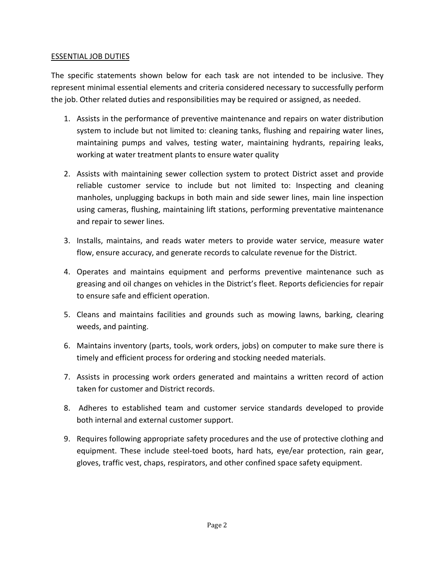## ESSENTIAL JOB DUTIES

The specific statements shown below for each task are not intended to be inclusive. They represent minimal essential elements and criteria considered necessary to successfully perform the job. Other related duties and responsibilities may be required or assigned, as needed.

- 1. Assists in the performance of preventive maintenance and repairs on water distribution system to include but not limited to: cleaning tanks, flushing and repairing water lines, maintaining pumps and valves, testing water, maintaining hydrants, repairing leaks, working at water treatment plants to ensure water quality
- 2. Assists with maintaining sewer collection system to protect District asset and provide reliable customer service to include but not limited to: Inspecting and cleaning manholes, unplugging backups in both main and side sewer lines, main line inspection using cameras, flushing, maintaining lift stations, performing preventative maintenance and repair to sewer lines.
- 3. Installs, maintains, and reads water meters to provide water service, measure water flow, ensure accuracy, and generate records to calculate revenue for the District.
- 4. Operates and maintains equipment and performs preventive maintenance such as greasing and oil changes on vehicles in the District's fleet. Reports deficiencies for repair to ensure safe and efficient operation.
- 5. Cleans and maintains facilities and grounds such as mowing lawns, barking, clearing weeds, and painting.
- 6. Maintains inventory (parts, tools, work orders, jobs) on computer to make sure there is timely and efficient process for ordering and stocking needed materials.
- 7. Assists in processing work orders generated and maintains a written record of action taken for customer and District records.
- 8. Adheres to established team and customer service standards developed to provide both internal and external customer support.
- 9. Requires following appropriate safety procedures and the use of protective clothing and equipment. These include steel-toed boots, hard hats, eye/ear protection, rain gear, gloves, traffic vest, chaps, respirators, and other confined space safety equipment.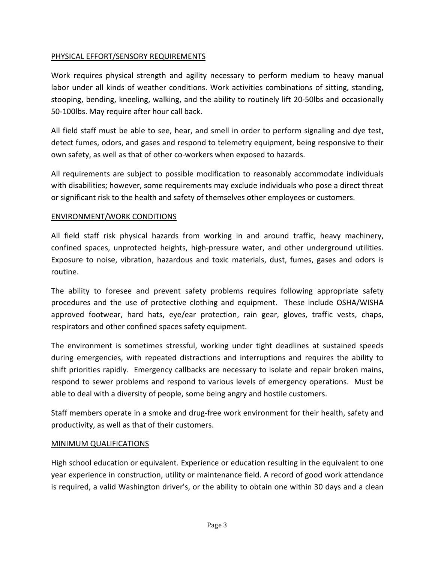# PHYSICAL EFFORT/SENSORY REQUIREMENTS

Work requires physical strength and agility necessary to perform medium to heavy manual labor under all kinds of weather conditions. Work activities combinations of sitting, standing, stooping, bending, kneeling, walking, and the ability to routinely lift 20-50lbs and occasionally 50-100lbs. May require after hour call back.

All field staff must be able to see, hear, and smell in order to perform signaling and dye test, detect fumes, odors, and gases and respond to telemetry equipment, being responsive to their own safety, as well as that of other co-workers when exposed to hazards.

All requirements are subject to possible modification to reasonably accommodate individuals with disabilities; however, some requirements may exclude individuals who pose a direct threat or significant risk to the health and safety of themselves other employees or customers.

# ENVIRONMENT/WORK CONDITIONS

All field staff risk physical hazards from working in and around traffic, heavy machinery, confined spaces, unprotected heights, high-pressure water, and other underground utilities. Exposure to noise, vibration, hazardous and toxic materials, dust, fumes, gases and odors is routine.

The ability to foresee and prevent safety problems requires following appropriate safety procedures and the use of protective clothing and equipment. These include OSHA/WISHA approved footwear, hard hats, eye/ear protection, rain gear, gloves, traffic vests, chaps, respirators and other confined spaces safety equipment.

The environment is sometimes stressful, working under tight deadlines at sustained speeds during emergencies, with repeated distractions and interruptions and requires the ability to shift priorities rapidly. Emergency callbacks are necessary to isolate and repair broken mains, respond to sewer problems and respond to various levels of emergency operations. Must be able to deal with a diversity of people, some being angry and hostile customers.

Staff members operate in a smoke and drug-free work environment for their health, safety and productivity, as well as that of their customers.

# MINIMUM QUALIFICATIONS

High school education or equivalent. Experience or education resulting in the equivalent to one year experience in construction, utility or maintenance field. A record of good work attendance is required, a valid Washington driver's, or the ability to obtain one within 30 days and a clean